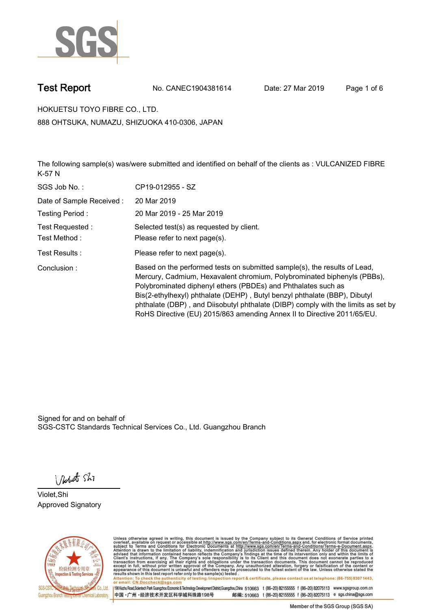

**Test Report. No. CANEC1904381614 Date: 27 Mar 2019. Page 1 of 6.**

**HOKUETSU TOYO FIBRE CO., LTD.. 888 OHTSUKA, NUMAZU, SHIZUOKA 410-0306, JAPAN**

**The following sample(s) was/were submitted and identified on behalf of the clients as : VULCANIZED FIBRE K-57 N.**

| SGS Job No.:             | CP19-012955 - SZ                                                                                                                                                                                                                                                                                                                                                                                                                                                   |
|--------------------------|--------------------------------------------------------------------------------------------------------------------------------------------------------------------------------------------------------------------------------------------------------------------------------------------------------------------------------------------------------------------------------------------------------------------------------------------------------------------|
| Date of Sample Received: | 20 Mar 2019                                                                                                                                                                                                                                                                                                                                                                                                                                                        |
| Testing Period:          | 20 Mar 2019 - 25 Mar 2019                                                                                                                                                                                                                                                                                                                                                                                                                                          |
| Test Requested:          | Selected test(s) as requested by client.                                                                                                                                                                                                                                                                                                                                                                                                                           |
| Test Method:             | Please refer to next page(s).                                                                                                                                                                                                                                                                                                                                                                                                                                      |
| Test Results :           | Please refer to next page(s).                                                                                                                                                                                                                                                                                                                                                                                                                                      |
| Conclusion:              | Based on the performed tests on submitted sample(s), the results of Lead,<br>Mercury, Cadmium, Hexavalent chromium, Polybrominated biphenyls (PBBs),<br>Polybrominated diphenyl ethers (PBDEs) and Phthalates such as<br>Bis(2-ethylhexyl) phthalate (DEHP), Butyl benzyl phthalate (BBP), Dibutyl<br>phthalate (DBP), and Diisobutyl phthalate (DIBP) comply with the limits as set by<br>RoHS Directive (EU) 2015/863 amending Annex II to Directive 2011/65/EU. |

Signed for and on behalf of SGS-CSTC Standards Technical Services Co., Ltd. Guangzhou Branch.

Nobet Shi

**Violet,Shi. Approved Signatory.**



Unless otherwise agreed in writing, this document is issued by the Company subject to its General Conditions of Service printed overleaf, available on request or accessible at http://www.sgs.com/en/Terms-and-Conditions.asp Attention: To check the authenticity of testing /inspection report & certificate, please contact us at telephone: (86-755) 8307 1443,<br>or email: CN.Doccheck@sgs.com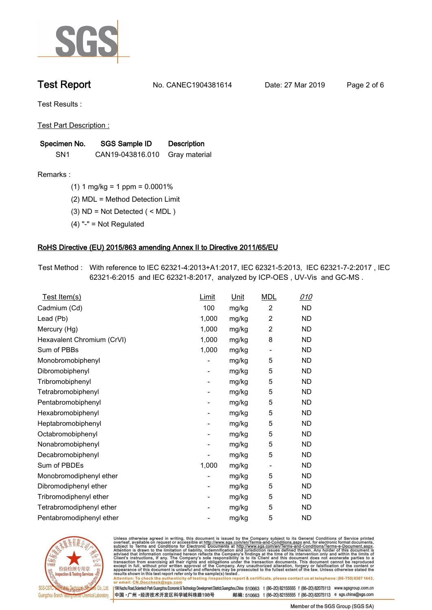

**Test Report. No. CANEC1904381614 Date: 27 Mar 2019. Page 2 of 6.**

**Test Results :.**

**Test Part Description :.**

| Specimen No.    | SGS Sample ID    | <b>Description</b> |  |
|-----------------|------------------|--------------------|--|
| SN <sub>1</sub> | CAN19-043816.010 | Gray material      |  |

**Remarks :.(1) 1 mg/kg = 1 ppm = 0.0001%.**

**(2) MDL = Method Detection Limit.**

- **(3) ND = Not Detected ( < MDL ).**
- **(4) "-" = Not Regulated.**

### **RoHS Directive (EU) 2015/863 amending Annex II to Directive 2011/65/EU.**

**Test Method :. With reference to IEC 62321-4:2013+A1:2017, IEC 62321-5:2013, IEC 62321-7-2:2017 , IEC 62321-6:2015 and IEC 62321-8:2017, analyzed by ICP-OES , UV-Vis and GC-MS ..**

| Test Item(s)               | Limit                    | Unit  | <b>MDL</b>               | 010       |
|----------------------------|--------------------------|-------|--------------------------|-----------|
| Cadmium (Cd)               | 100                      | mg/kg | $\overline{2}$           | <b>ND</b> |
| Lead (Pb)                  | 1,000                    | mg/kg | $\overline{c}$           | <b>ND</b> |
| Mercury (Hg)               | 1,000                    | mg/kg | 2                        | <b>ND</b> |
| Hexavalent Chromium (CrVI) | 1,000                    | mg/kg | 8                        | <b>ND</b> |
| Sum of PBBs                | 1,000                    | mg/kg | $\overline{\phantom{a}}$ | <b>ND</b> |
| Monobromobiphenyl          |                          | mg/kg | 5                        | <b>ND</b> |
| Dibromobiphenyl            | $\overline{\phantom{a}}$ | mg/kg | 5                        | <b>ND</b> |
| Tribromobiphenyl           | -                        | mg/kg | 5                        | <b>ND</b> |
| Tetrabromobiphenyl         |                          | mg/kg | 5                        | <b>ND</b> |
| Pentabromobiphenyl         | -                        | mg/kg | 5                        | <b>ND</b> |
| Hexabromobiphenyl          |                          | mg/kg | 5                        | <b>ND</b> |
| Heptabromobiphenyl         | -                        | mg/kg | 5                        | <b>ND</b> |
| Octabromobiphenyl          | -                        | mg/kg | 5                        | <b>ND</b> |
| Nonabromobiphenyl          |                          | mg/kg | 5                        | ND        |
| Decabromobiphenyl          |                          | mg/kg | 5                        | <b>ND</b> |
| Sum of PBDEs               | 1,000                    | mg/kg | $\overline{\phantom{a}}$ | <b>ND</b> |
| Monobromodiphenyl ether    |                          | mg/kg | 5                        | <b>ND</b> |
| Dibromodiphenyl ether      | -                        | mg/kg | 5                        | <b>ND</b> |
| Tribromodiphenyl ether     | -                        | mg/kg | 5                        | <b>ND</b> |
| Tetrabromodiphenyl ether   |                          | mg/kg | 5                        | <b>ND</b> |
| Pentabromodiphenyl ether   |                          | mg/kg | 5                        | <b>ND</b> |
|                            |                          |       |                          |           |



Unless otherwise agreed in writing, this document is issued by the Company subject to its General Conditions of Service printed overleaf, available on request or accessible at http://www.sgs.com/en/Terms-and-Conditions.asp Attention: To check the authenticity of testing /inspection report & certificate, please contact us at telephone: (86-755) 8307 1443,

or email: CN.Doccheck@sgs.com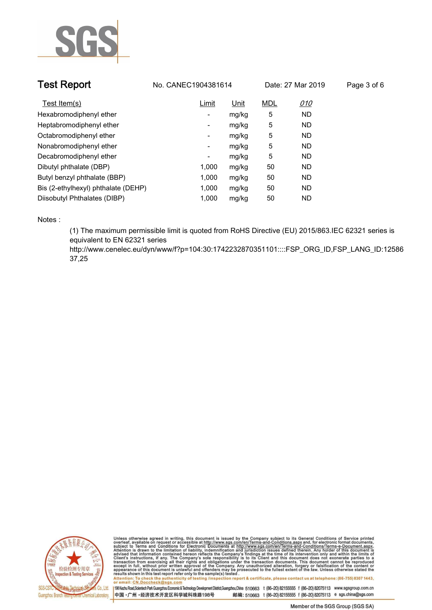

| <b>Test Report</b>                  | No. CANEC1904381614<br>Date: 27 Mar 2019 |       | Page 3 of 6 |            |  |
|-------------------------------------|------------------------------------------|-------|-------------|------------|--|
| Test Item(s)                        | Limit                                    | Unit  | <b>MDL</b>  | <u>010</u> |  |
| Hexabromodiphenyl ether             | -                                        | mg/kg | 5           | <b>ND</b>  |  |
| Heptabromodiphenyl ether            | ۰                                        | mg/kg | 5           | <b>ND</b>  |  |
| Octabromodiphenyl ether             | ۰                                        | mg/kg | 5           | ND.        |  |
| Nonabromodiphenyl ether             | -                                        | mg/kg | 5           | <b>ND</b>  |  |
| Decabromodiphenyl ether             | ٠                                        | mg/kg | 5           | <b>ND</b>  |  |
| Dibutyl phthalate (DBP)             | 1.000                                    | mg/kg | 50          | <b>ND</b>  |  |
| Butyl benzyl phthalate (BBP)        | 1.000                                    | mg/kg | 50          | <b>ND</b>  |  |
| Bis (2-ethylhexyl) phthalate (DEHP) | 1.000                                    | mg/kg | 50          | <b>ND</b>  |  |
| Diisobutyl Phthalates (DIBP)        | 1.000                                    | mg/kg | 50          | ND.        |  |

**Notes :.**

**(1) The maximum permissible limit is quoted from RoHS Directive (EU) 2015/863.IEC 62321 series is equivalent to EN 62321 series** 

**http://www.cenelec.eu/dyn/www/f?p=104:30:1742232870351101::::FSP\_ORG\_ID,FSP\_LANG\_ID:12586 37,25.**



Unless otherwise agreed in writing, this document is issued by the Company subject to its General Conditions of Service printed<br>overleaf, available on request or accessible at http://www.sgs.com/en/Terms-and-Conditions.as Manus and The Check the authenticity of testing /inspection report & certificate, please contact us at telephone: (86-755) 8307 1443,

or email: CN.Doccheck@sgs.com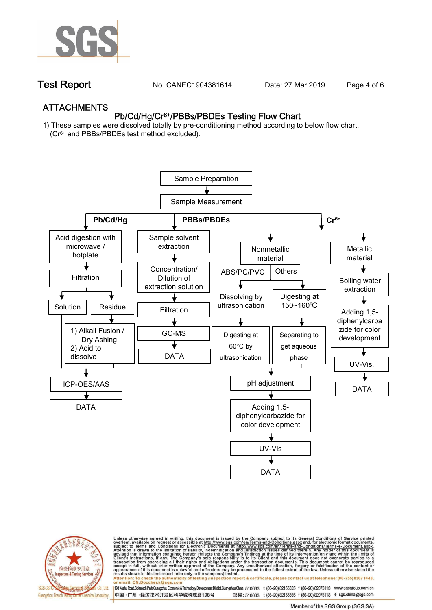

**Test Report. No. CANEC1904381614 Date: 27 Mar 2019. Page 4 of 6.**

## **ATTACHMENTS Pb/Cd/Hg/Cr6+/PBBs/PBDEs Testing Flow Chart**

**1) These samples were dissolved totally by pre-conditioning method according to below flow chart. (Cr6+ and PBBs/PBDEs test method excluded).**





Unless otherwise agreed in writing, this document is issued by the Company subject to its General Conditions of Service printed<br>overleaf, available on request or accessible at http://www.sgs.com/en/Terms-and-Conditions.as

results shown in this test report refer only to the sample(s) tested .<br>Attention: To check the authenticity of testing /inspection report & certificate, please contact us at telephone: (86-755) 8307 1443,<br>or email: <u>CN.Doc</u>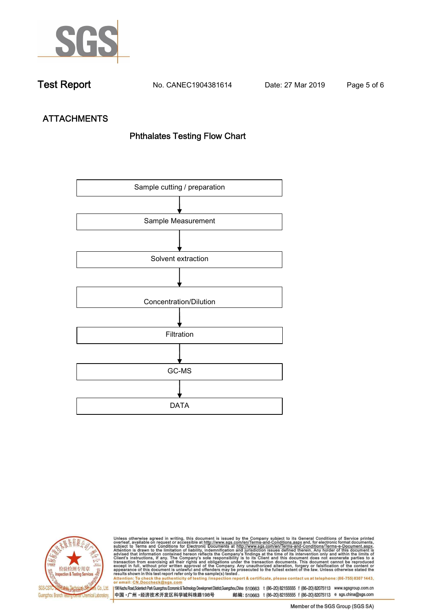

**Test Report. No. CANEC1904381614 Date: 27 Mar 2019. Page 5 of 6.**

# **ATTACHMENTS Phthalates Testing Flow Chart**





Unless otherwise agreed in writing, this document is issued by the Company subject to its General Conditions of Service printed<br>overleaf, available on request or accessible at http://www.sgs.com/en/Terms-and-Conditions.as

results shown in this test report refer only to the sample(s) tested .<br>Attention: To check the authenticity of testing /inspection report & certificate, please contact us at telephone: (86-755) 8307 1443,<br>or email: <u>CN.Doc</u>